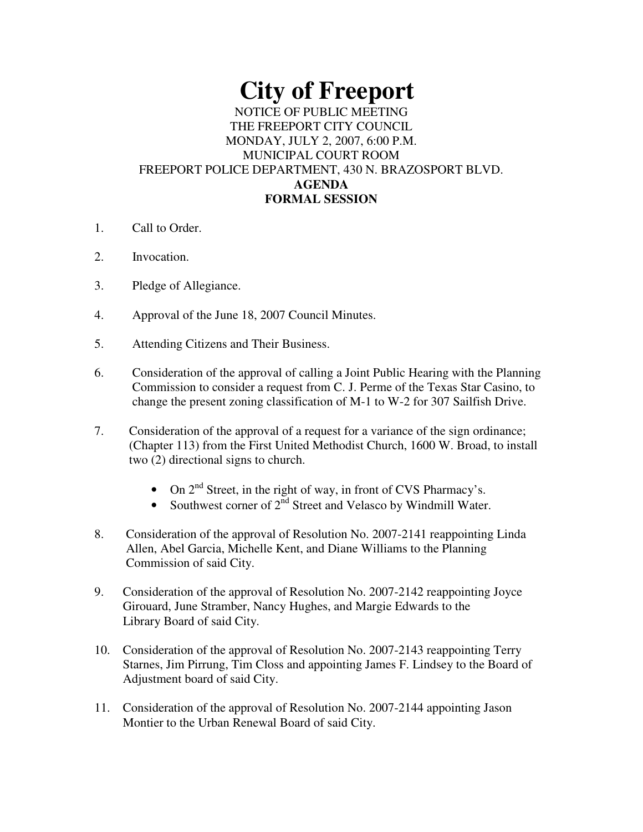# **City of Freeport**

## NOTICE OF PUBLIC MEETING THE FREEPORT CITY COUNCIL MONDAY, JULY 2, 2007, 6:00 P.M. MUNICIPAL COURT ROOM FREEPORT POLICE DEPARTMENT, 430 N. BRAZOSPORT BLVD. **AGENDA FORMAL SESSION**

- 1. Call to Order.
- 2. Invocation.
- 3. Pledge of Allegiance.
- 4. Approval of the June 18, 2007 Council Minutes.
- 5. Attending Citizens and Their Business.
- 6. Consideration of the approval of calling a Joint Public Hearing with the Planning Commission to consider a request from C. J. Perme of the Texas Star Casino, to change the present zoning classification of M-1 to W-2 for 307 Sailfish Drive.
- 7. Consideration of the approval of a request for a variance of the sign ordinance; (Chapter 113) from the First United Methodist Church, 1600 W. Broad, to install two (2) directional signs to church.
	- On  $2<sup>nd</sup>$  Street, in the right of way, in front of CVS Pharmacy's.
	- Southwest corner of  $2<sup>nd</sup>$  Street and Velasco by Windmill Water.
- 8. Consideration of the approval of Resolution No. 2007-2141 reappointing Linda Allen, Abel Garcia, Michelle Kent, and Diane Williams to the Planning Commission of said City.
- 9. Consideration of the approval of Resolution No. 2007-2142 reappointing Joyce Girouard, June Stramber, Nancy Hughes, and Margie Edwards to the Library Board of said City.
- 10. Consideration of the approval of Resolution No. 2007-2143 reappointing Terry Starnes, Jim Pirrung, Tim Closs and appointing James F. Lindsey to the Board of Adjustment board of said City.
- 11. Consideration of the approval of Resolution No. 2007-2144 appointing Jason Montier to the Urban Renewal Board of said City.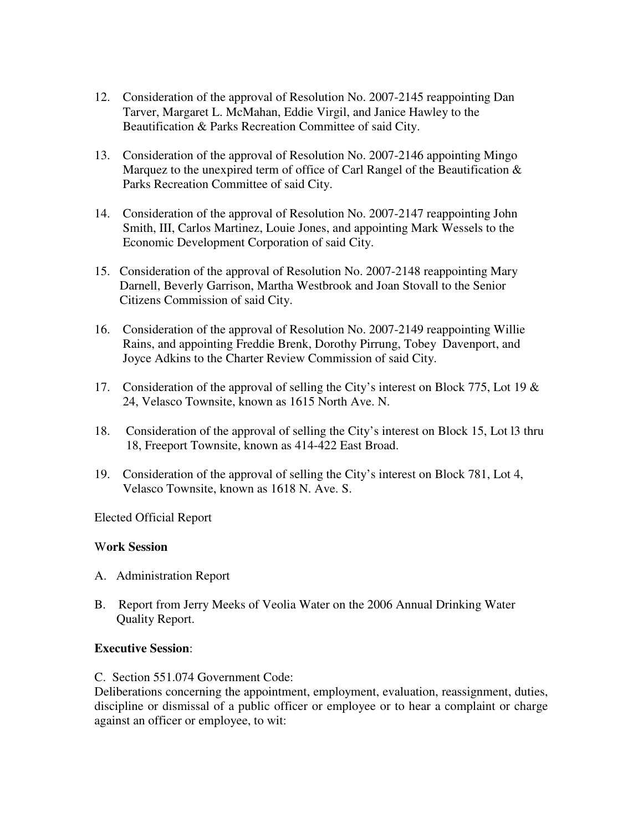- 12. Consideration of the approval of Resolution No. 2007-2145 reappointing Dan Tarver, Margaret L. McMahan, Eddie Virgil, and Janice Hawley to the Beautification & Parks Recreation Committee of said City.
- 13. Consideration of the approval of Resolution No. 2007-2146 appointing Mingo Marquez to the unexpired term of office of Carl Rangel of the Beautification & Parks Recreation Committee of said City.
- 14. Consideration of the approval of Resolution No. 2007-2147 reappointing John Smith, III, Carlos Martinez, Louie Jones, and appointing Mark Wessels to the Economic Development Corporation of said City.
- 15. Consideration of the approval of Resolution No. 2007-2148 reappointing Mary Darnell, Beverly Garrison, Martha Westbrook and Joan Stovall to the Senior Citizens Commission of said City.
- 16. Consideration of the approval of Resolution No. 2007-2149 reappointing Willie Rains, and appointing Freddie Brenk, Dorothy Pirrung, Tobey Davenport, and Joyce Adkins to the Charter Review Commission of said City.
- 17. Consideration of the approval of selling the City's interest on Block 775, Lot 19 & 24, Velasco Townsite, known as 1615 North Ave. N.
- 18. Consideration of the approval of selling the City's interest on Block 15, Lot l3 thru 18, Freeport Townsite, known as 414-422 East Broad.
- 19. Consideration of the approval of selling the City's interest on Block 781, Lot 4, Velasco Townsite, known as 1618 N. Ave. S.

Elected Official Report

#### W**ork Session**

- A. Administration Report
- B. Report from Jerry Meeks of Veolia Water on the 2006 Annual Drinking Water Quality Report.

#### **Executive Session**:

C. Section 551.074 Government Code:

Deliberations concerning the appointment, employment, evaluation, reassignment, duties, discipline or dismissal of a public officer or employee or to hear a complaint or charge against an officer or employee, to wit: